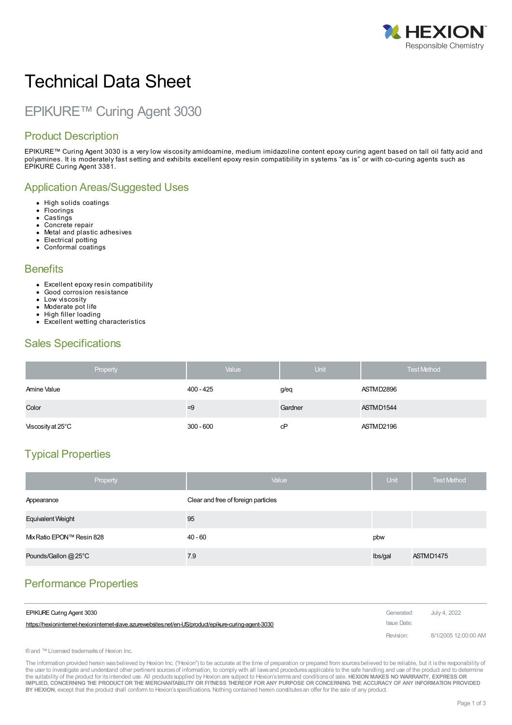

# Technical Data Sheet

## EPIKURE™ Curing Agent 3030

#### Product Description

EPIKURE™ Curing Agent 3030 is a very low viscosity amidoamine, medium imidazoline content epoxy curing agent based on tall oil fatty acid and polyamines. It is moderately fast setting and exhibits excellent epoxy resin compatibility in systems "as is" or with co-curing agents such as EPIKURE Curing Agent 3381.

#### Application Areas/Suggested Uses

- High solids coatings
- **Floorings**
- **Castings**
- Concrete repair  $\bullet$
- Metal and plastic adhesives • Electrical potting
- Conformal coatings

#### **Benefits**

- Excellent epoxy resin compatibility
- Good corrosion resistance
- Low viscosity
- Moderate pot life  $\bullet$ High filler loading
- Excellent wetting characteristics

#### Sales Specifications

| Property          | Value       | Unit    | <b>Test Method</b> |
|-------------------|-------------|---------|--------------------|
| Amine Value       | $400 - 425$ | g/eq    | ASTMD2896          |
| Color             | $=9$        | Gardner | ASTMD1544          |
| Viscosity at 25°C | $300 - 600$ | сP      | ASTMD2196          |

## Typical Properties

| Property                 | Value                               | <b>Unit</b> | <b>Test Method</b> |
|--------------------------|-------------------------------------|-------------|--------------------|
| Appearance               | Clear and free of foreign particles |             |                    |
| Equivalent Weight        | 95                                  |             |                    |
| Mx Ratio EPON™ Resin 828 | 40 - 60                             | pbw         |                    |
| Pounds/Gallon @ 25°C     | 7.9                                 | Ibs/gal     | ASTMD1475          |

## Performance Properties

| <b>EPIKURE Curing Agent 3030</b>                                                                    | Generated:  | July 4. 2022         |
|-----------------------------------------------------------------------------------------------------|-------------|----------------------|
| https://hexionintemet-hexionintemet-slave.azurewebsites.net/en-US/product/epikure-curing-agent-3030 | Issue Date: |                      |
|                                                                                                     | Revision:   | 8/1/2005 12:00:00 AM |

® and ™ Licensed trademarks of Hexion Inc.

The information provided herein was believed by Hexion Inc. ("Hexion") to be accurate at the time of preparation or prepared from sources believed to be reliable, but it is the responsibility of the user to investigate and understand other pertinent sources of information, to comply with all laws and procedures applicable to the safe handling and use of the product and to determine the suitability of the product for itsintended use. All productssupplied by Hexion are subject to Hexion'stermsand conditionsof sale. **HEXION MAKES NO WARRANTY, EXPRESS OR** IMPLIED, CONCERNING THE PRODUCT OR THE MERCHANTABILITY OR FITNESS THEREOF FOR ANY PURPOSE OR CONCERNING THE ACCURACY OF ANY INFORMATION PROVIDED **BY HEXION**, except that the product shall conform to Hexion'sspecifications. Nothing contained herein constitutesan offer for the sale of any product.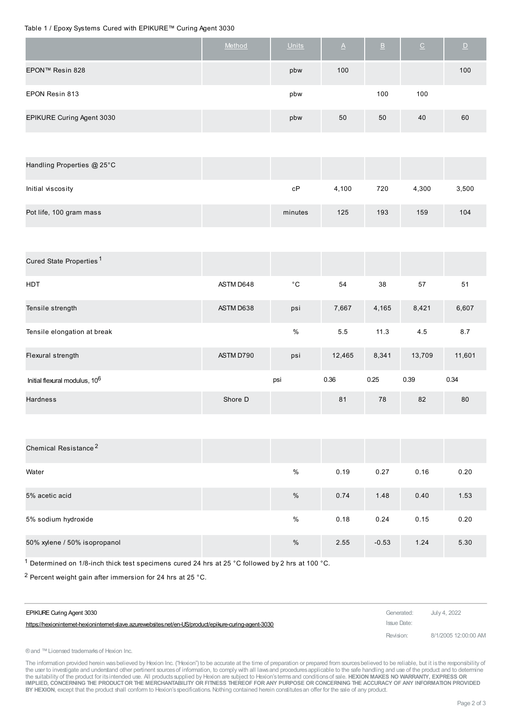#### Table 1 / Epoxy Systems Cured with EPIKURE™ Curing Agent 3030

|                           | Method | <b>Units</b> | $\Delta$ | $\overline{B}$ | $\subseteq$ | $\Box$ |
|---------------------------|--------|--------------|----------|----------------|-------------|--------|
| EPON™ Resin 828           |        | pbw          | 100      |                |             | 100    |
| EPON Resin 813            |        | pbw          |          | 100            | 100         |        |
| EPIKURE Curing Agent 3030 |        | pbw          | 50       | 50             | 40          | 60     |

| Handling Properties @ 25°C |         |       |     |       |       |
|----------------------------|---------|-------|-----|-------|-------|
| Initial viscosity          | сP      | 4,100 | 720 | 4.300 | 3,500 |
| Pot life, 100 gram mass    | minutes | 125   | 193 | 159   | 104   |

| Cured State Properties <sup>1</sup>       |           |              |        |       |        |        |
|-------------------------------------------|-----------|--------------|--------|-------|--------|--------|
| <b>HDT</b>                                | ASTM D648 | $^{\circ}$ C | 54     | 38    | 57     | 51     |
| Tensile strength                          | ASTM D638 | psi          | 7,667  | 4,165 | 8,421  | 6,607  |
| Tensile elongation at break               |           | %            | 5.5    | 11.3  | 4.5    | 8.7    |
| Flexural strength                         | ASTM D790 | psi          | 12,465 | 8,341 | 13,709 | 11,601 |
| Initial flexural modulus, 10 <sup>6</sup> |           | psi          | 0.36   | 0.25  | 0.39   | 0.34   |
| <b>Hardness</b>                           | Shore D   |              | 81     | 78    | 82     | 80     |

| Chemical Resistance <sup>2</sup> |      |      |         |      |      |
|----------------------------------|------|------|---------|------|------|
| Water                            | $\%$ | 0.19 | 0.27    | 0.16 | 0.20 |
| 5% acetic acid                   | %    | 0.74 | 1.48    | 0.40 | 1.53 |
| 5% sodium hydroxide              | $\%$ | 0.18 | 0.24    | 0.15 | 0.20 |
| 50% xylene / 50% isopropanol     | $\%$ | 2.55 | $-0.53$ | 1.24 | 5.30 |

 $1$  Determined on 1/8-inch thick test specimens cured 24 hrs at 25 °C followed by 2 hrs at 100 °C.

2 Percent weight gain after immersion for 24 hrs at 25 °C.

| EPIKURE Curing Agent 3030                                                                            | Generated:  | July 4, 2022         |
|------------------------------------------------------------------------------------------------------|-------------|----------------------|
| https://hexioninternet-hexioninternet-dave.azurewebsites.net/en-US/product/epikure-curing-agent-3030 | Issue Date: |                      |
|                                                                                                      | Revision:   | 8/1/2005 12:00:00 AM |

®and ™Licensed trademarksof Hexion Inc.

The information provided herein wasbelieved by Hexion Inc. ("Hexion") to be accurate at the time of preparation or prepared from sources believed to be reliable, but it is the responsibility of<br>the user to investigate and IMPLIED, CONCERNING THE PRODUCT OR THE MERCHANTABILITY OR FITNESS THEREOF FOR ANY PURPOSE OR CONCERNING THE ACCURACY OF ANY INFORMATION PROVIDED **BY HEXION**, except that the product shall conform to Hexion'sspecifications. Nothing contained herein constitutesan offer for the sale of any product.